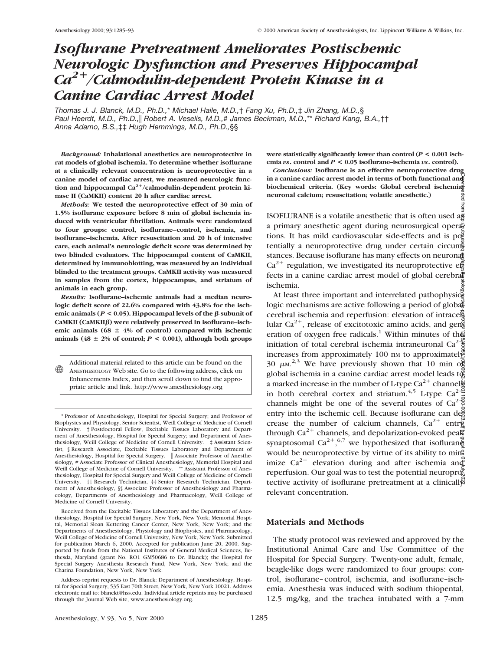# *Isoflurane Pretreatment Ameliorates Postischemic Neurologic Dysfunction and Preserves Hippocampal Ca2*<sup>1</sup>*/Calmodulin-dependent Protein Kinase in a Canine Cardiac Arrest Model*

*Thomas J. J. Blanck, M.D., Ph.D.,*\* *Michael Haile, M.D.,*† *Fang Xu, Ph.D.,*‡ *Jin Zhang, M.D.,*§ *Paul Heerdt, M.D., Ph.D.,*i *Robert A. Veselis, M.D.,# James Beckman, M.D.,*\*\* *Richard Kang, B.A.,*†† *Anna Adamo, B.S.,*‡‡ *Hugh Hemmings, M.D., Ph.D.,*§§

*Background:* **Inhalational anesthetics are neuroprotective in rat models of global ischemia. To determine whether isoflurane at a clinically relevant concentration is neuroprotective in a canine model of cardiac arrest, we measured neurologic func**tion and hippocampal Ca<sup>2+</sup>/calmodulin-dependent protein ki**nase II (CaMKII) content 20 h after cardiac arrest.**

*Methods:* **We tested the neuroprotective effect of 30 min of 1.5% isoflurane exposure before 8 min of global ischemia induced with ventricular fibrillation. Animals were randomized to four groups: control, isoflurane–control, ischemia, and isoflurane–ischemia. After resuscitation and 20 h of intensive care, each animal's neurologic deficit score was determined by two blinded evaluators. The hippocampal content of CaMKII, determined by immunoblotting, was measured by an individual blinded to the treatment groups. CaMKII activity was measured in samples from the cortex, hippocampus, and striatum of animals in each group.**

*Results:* **Isoflurane–ischemic animals had a median neurologic deficit score of 22.6% compared with 43.8% for the isch**emic animals ( $P < 0.05$ ). Hippocampal levels of the  $\beta$ -subunit of CaMKII (CaMKIIβ) were relatively preserved in isoflurane-ischemic animals ( $68 \pm 4\%$  of control) compared with ischemic animals (48  $\pm$  2% of control;  $P < 0.001$ ), although both groups

Additional material related to this article can be found on the ANESTHESIOLOGY Web site. Go to the following address, click on Enhancements Index, and then scroll down to find the appropriate article and link. http://www.anesthesiology.org

 $\circledast$ 

**were statistically significantly lower than control (***P* **< 0.001 ischemia** *vs***. control and** *P* **< 0.05 isoflurane–ischemia** *vs***. control).**

*Conclusions:* **Isoflurane is an effective neuroprotective drug in a canine cardiac arrest model in terms of both functional and biochemical criteria. (Key words: Global cerebral ischemia; neuronal calcium; resuscitation; volatile anesthetic.)** qeq

ISOFLURANE is a volatile anesthetic that is often used  $a\overline{a}$ a primary anesthetic agent during neurosurgical operations. It has mild cardiovascular side-effects and is  $p\sigma_{n}^{\alpha}$ tentially a neuroprotective drug under certain circum $\frac{8}{3}$ stances. Because isoflurane has many effects on neuronal  $Ca^{2+}$  regulation, we investigated its neuroprotective effects in a canine cardiac arrest model of global cerebra $\ddot{\tilde{\bm{x}}}$ ischemia.

At least three important and interrelated pathophysio $\frac{8}{9}$ logic mechanisms are active following a period of global cerebral ischemia and reperfusion: elevation of intracellular Ca<sup>2+</sup>, release of excitotoxic amino acids, and gen $\tilde{\mathbb{B}}$ eration of oxygen free radicals.<sup>1</sup> Within minutes of the initiation of total cerebral ischemia intraneuronal Ca<sup>2</sup><sup>1</sup>/<sub>2</sub> increases from approximately 100 nm to approximately 30  $\mu$ M.<sup>2,3</sup> We have previously shown that 10 min of global ischemia in a canine cardiac arrest model leads  $t\ddot{\mathfrak{g}}$ a marked increase in the number of L-type Ca<sup>2+</sup> channels in both cerebral cortex and striatum.<sup>4,5</sup> L-type Ca<sup>2</sup> $\frac{3}{5}$ channels might be one of the several routes of  $Ca<sup>2</sup>$ <sup>2</sup>/<sub>2</sub><sup>2</sup>/<sub>2</sub><sup>2</sup>/<sub>2</sub><sup>2</sup>/<sub>2</sub><sup>2</sup>/<sub>2</sub><sup>2</sup>/<sub>2</sub><sup>2</sup>/<sub>2</sub><sup>2</sup>/<sub>2</sub><sup>2</sup>/<sub>2</sub><sup>2</sup>/<sub>2</sub><sup>2</sup>/<sub>2</sub><sup>2</sup>/<sub>2</sub><sup>2</sup>/<sub>2</sub><sup>2</sup>/<sub>2</sub><sup>2</sup>/<sub>2</sub><sup>2</sup>/<sub>2</sub><sup>2</sup>/<sub>2</sub><sup>2</sup>/<sub>2</sub><sup>2</sup>/<sub>2</sub><sup>2</sup>/<sub>2</sub><sup>2</sup>/<sub>2</sub><sup>2</sup>/<sub>2</sub><sup>2</sup>/<sub>2</sub><sup>2</sup> entry into the ischemic cell. Because isoflurane can dea crease the number of calcium channels,  $Ca^{2+}$  entry through  $Ca^{2+}$  channels, and depolarization-evoked peak synaptosomal Ca<sup>2+</sup>,<sup>6,7</sup> we hypothesized that isofluran would be neuroprotective by virtue of its ability to min<sup>9</sup> imize  $Ca^{2+}$  elevation during and after ischemia and reperfusion. Our goal was to test the potential neuropro $\bar{\xi}$ tective activity of isoflurane pretreatment at a clinically relevant concentration. Downloaded from http://pubs.asahq.org/anesthesiology/article-pdf/93/5/1285/400531/0000542-200011000-00023.pdf by guest on 01 July 2022

## **Materials and Methods**

The study protocol was reviewed and approved by the Institutional Animal Care and Use Committee of the Hospital for Special Surgery. Twenty-one adult, female, beagle-like dogs were randomized to four groups: control, isoflurane–control, ischemia, and isoflurane–ischemia. Anesthesia was induced with sodium thiopental, 12.5 mg/kg, and the trachea intubated with a 7-mm

<sup>\*</sup> Professor of Anesthesiology, Hospital for Special Surgery; and Professor of Biophysics and Physiology, Senior Scientist, Weill College of Medicine of Cornell University. † Postdoctoral Fellow, Excitable Tissues Laboratory and Department of Anesthesiology, Hospital for Special Surgery; and Department of Anesthesiology, Weill College of Medicine of Cornell University. ‡ Assistant Scientist, § Research Associate, Excitable Tissues Laboratory and Department of Anesthesiology, Hospital for Special Surgery. || Associate Professor of Anesthesiology, # Associate Professor of Clinical Anesthesiology, Memorial Hospital and Weill College of Medicine of Cornell University. \*\* Assistant Professor of Anesthesiology, Hospital for Special Surgery and Weill College of Medicine of Cornell University. †† Research Technician, ‡‡ Senior Research Technician, Department of Anesthesiology, §§ Associate Professor of Anesthesiology and Pharmacology, Departments of Anesthesiology and Pharmacology, Weill College of Medicine of Cornell University.

Received from the Excitable Tissues Laboratory and the Department of Anesthesiology, Hospital for Special Surgery, New York, New York; Memorial Hospital, Memorial Sloan Kettering Cancer Center, New York, New York; and the Departments of Anesthesiology, Physiology and Biophysics, and Pharmacology, Weill College of Medicine of Cornell University, New York, New York. Submitted for publication March 6, 2000. Accepted for publication June 20, 2000. Supported by funds from the National Institutes of General Medical Sciences, Bethesda, Maryland (grant No. RO1 GM50686 to Dr. Blanck); the Hospital for Special Surgery Anesthesia Research Fund, New York, New York; and the Charina Foundation, New York, New York.

Address reprint requests to Dr. Blanck: Department of Anesthesiology, Hospital for Special Surgery, 535 East 70th Street, New York, New York 10021. Address electronic mail to: blanckt@hss.edu. Individual article reprints may be purchased through the Journal Web site, www.anesthesiology.org.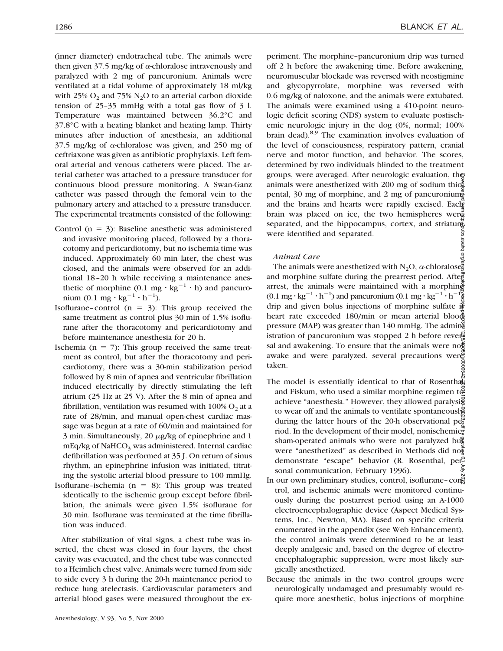(inner diameter) endotracheal tube. The animals were then given  $37.5$  mg/kg of  $\alpha$ -chloralose intravenously and paralyzed with 2 mg of pancuronium. Animals were ventilated at a tidal volume of approximately 18 ml/kg with 25%  $O_2$  and 75%  $N_2O$  to an arterial carbon dioxide tension of 25–35 mmHg with a total gas flow of 3 l. Temperature was maintained between 36.2°C and 37.8°C with a heating blanket and heating lamp. Thirty minutes after induction of anesthesia, an additional 37.5 mg/kg of  $\alpha$ -chloralose was given, and 250 mg of ceftriaxone was given as antibiotic prophylaxis. Left femoral arterial and venous catheters were placed. The arterial catheter was attached to a pressure transducer for continuous blood pressure monitoring. A Swan-Ganz catheter was passed through the femoral vein to the pulmonary artery and attached to a pressure transducer. The experimental treatments consisted of the following:

- Control ( $n = 3$ ): Baseline anesthetic was administered and invasive monitoring placed, followed by a thoracotomy and pericardiotomy, but no ischemia time was induced. Approximately 60 min later, the chest was closed, and the animals were observed for an additional 18–20 h while receiving a maintenance anesthetic of morphine (0.1 mg  $\cdot$  kg<sup>-1</sup>  $\cdot$  h) and pancuronium  $(0.1 \text{ mg} \cdot \text{kg}^{-1} \cdot \text{h}^{-1})$ .
- Isoflurane–control  $(n = 3)$ : This group received the same treatment as control plus 30 min of 1.5% isoflurane after the thoracotomy and pericardiotomy and before maintenance anesthesia for 20 h.
- Ischemia ( $n = 7$ ): This group received the same treatment as control, but after the thoracotomy and pericardiotomy, there was a 30-min stabilization period followed by 8 min of apnea and ventricular fibrillation induced electrically by directly stimulating the left atrium (25 Hz at 25 V). After the 8 min of apnea and fibrillation, ventilation was resumed with  $100\%$  O<sub>2</sub> at a rate of 28/min, and manual open-chest cardiac massage was begun at a rate of 60/min and maintained for  $3$  min. Simultaneously,  $20 \mu g/kg$  of epinephrine and 1 mEq/kg of NaHCO<sub>3</sub> was administered. Internal cardiac defibrillation was performed at 35 J. On return of sinus rhythm, an epinephrine infusion was initiated, titrating the systolic arterial blood pressure to 100 mmHg.
- Isoflurane–ischemia ( $n = 8$ ): This group was treated identically to the ischemic group except before fibrillation, the animals were given 1.5% isoflurane for 30 min. Isoflurane was terminated at the time fibrillation was induced.

After stabilization of vital signs, a chest tube was inserted, the chest was closed in four layers, the chest cavity was evacuated, and the chest tube was connected to a Heimlich chest valve. Animals were turned from side to side every 3 h during the 20-h maintenance period to reduce lung atelectasis. Cardiovascular parameters and arterial blood gases were measured throughout the ex-

periment. The morphine–pancuronium drip was turned off 2 h before the awakening time. Before awakening, neuromuscular blockade was reversed with neostigmine and glycopyrrolate, morphine was reversed with 0.6 mg/kg of naloxone, and the animals were extubated. The animals were examined using a 410-point neurologic deficit scoring (NDS) system to evaluate postischemic neurologic injury in the dog (0%, normal; 100% brain dead).<sup>8,9</sup> The examination involves evaluation of the level of consciousness, respiratory pattern, cranial nerve and motor function, and behavior. The scores, determined by two individuals blinded to the treatment groups, were averaged. After neurologic evaluation, the animals were anesthetized with 200 mg of sodium thiopental, 30 mg of morphine, and 2 mg of pancuronium, and the brains and hearts were rapidly excised. Each brain was placed on ice, the two hemispheres were separated, and the hippocampus, cortex, and striatum were identified and separated.

## *Animal Care*

The animals were anesthetized with N<sub>2</sub>O,  $\alpha$ -chloralose $\frac{2}{9}$ and morphine sulfate during the prearrest period. After arrest, the animals were maintained with a morphing  $(0.1 \text{ mg} \cdot \text{kg}^{-1} \cdot \text{h}^{-1})$  and pancuronium  $(0.1 \text{ mg} \cdot \text{kg}^{-1} \cdot \text{h}^{-1})$ )<br>) drip and given bolus injections of morphine sulfate if heart rate exceeded 180/min or mean arterial bloods pressure (MAP) was greater than 140 mmHg. The admin istration of pancuronium was stopped 2 h before reverse sal and awakening. To ensure that the animals were not awake and were paralyzed, several precautions were taken. Downloaded from http://pubs.asahq.org/anesthesiology/article-pdf/93/5/1285/400531/0000542-200011000-00023.pdf by guest on 01 July 2022

- The model is essentially identical to that of Rosenthally and Fiskum, who used a similar morphine regimen  $t\ddot{\varphi}$ achieve "anesthesia." However, they allowed paralysis to wear off and the animals to ventilate spontaneously during the latter hours of the 20-h observational  $pe^{\omega}$ riod. In the development of their model, nonischemicsham-operated animals who were not paralyzed bug were "anesthetized" as described in Methods did not demonstrate "escape" behavior (R. Rosenthal, personal communication, February 1996).
- In our own preliminary studies, control, isoflurane-con trol, and ischemic animals were monitored continuously during the postarrest period using an A-1000 electroencephalographic device (Aspect Medical Systems, Inc., Newton, MA). Based on specific criteria enumerated in the appendix (see Web Enhancement), the control animals were determined to be at least deeply analgesic and, based on the degree of electroencephalographic suppression, were most likely surgically anesthetized.
- Because the animals in the two control groups were neurologically undamaged and presumably would require more anesthetic, bolus injections of morphine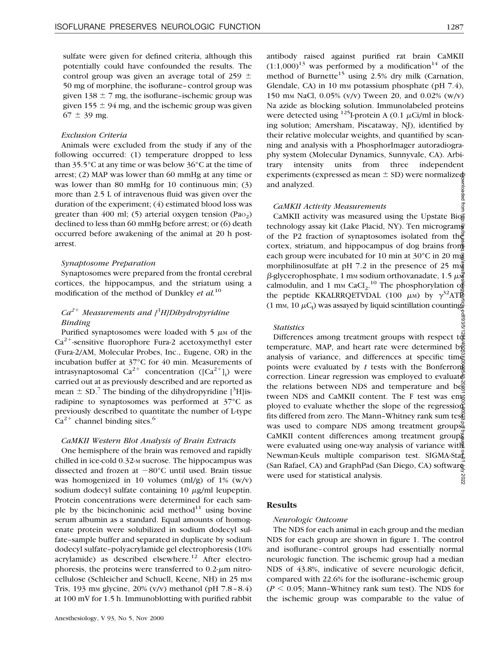sulfate were given for defined criteria, although this potentially could have confounded the results. The control group was given an average total of 259  $\pm$ 50 mg of morphine, the isoflurane–control group was given 138  $\pm$  7 mg, the isoflurane–ischemic group was given 155  $\pm$  94 mg, and the ischemic group was given  $67 \pm 39$  mg.

#### *Exclusion Criteria*

Animals were excluded from the study if any of the following occurred: (1) temperature dropped to less than 35.5°C at any time or was below 36°C at the time of arrest; (2) MAP was lower than 60 mmHg at any time or was lower than 80 mmHg for 10 continuous min; (3) more than 2.5 L of intravenous fluid was given over the duration of the experiment; (4) estimated blood loss was greater than 400 ml; (5) arterial oxygen tension  $(Pao<sub>2</sub>)$ declined to less than 60 mmHg before arrest; or (6) death occurred before awakening of the animal at 20 h postarrest.

## *Synaptosome Preparation*

Synaptosomes were prepared from the frontal cerebral cortices, the hippocampus, and the striatum using a modification of the method of Dunkley *et al.*<sup>10</sup>

# *Ca2*<sup>1</sup> *Measurements and [3 H]Dihydropyridine Binding*

Purified synaptosomes were loaded with  $5 \mu M$  of the  $Ca^{2+}$ -sensitive fluorophore Fura-2 acetoxymethyl ester (Fura-2/AM, Molecular Probes, Inc., Eugene, OR) in the incubation buffer at 37°C for 40 min. Measurements of intrasynaptosomal  $Ca^{2+}$  concentration ([ $Ca^{2+}$ ]<sub>i</sub>) were carried out at as previously described and are reported as mean  $\pm$  SD.<sup>7</sup> The binding of the dihydropyridine [<sup>3</sup>H]isradipine to synaptosomes was performed at 37°C as previously described to quantitate the number of L-type  $Ca<sup>2+</sup>$  channel binding sites.<sup>6</sup>

#### *CaMKII Western Blot Analysis of Brain Extracts*

One hemisphere of the brain was removed and rapidly chilled in ice-cold 0.32-M sucrose. The hippocampus was dissected and frozen at  $-80^{\circ}$ C until used. Brain tissue was homogenized in 10 volumes (ml/g) of  $1\%$  (w/v) sodium dodecyl sulfate containing  $10 \mu g/ml$  leupeptin. Protein concentrations were determined for each sample by the bicinchoninic acid method $11$  using bovine serum albumin as a standard. Equal amounts of homogenate protein were solubilized in sodium dodecyl sulfate–sample buffer and separated in duplicate by sodium dodecyl sulfate–polyacrylamide gel electrophoresis (10% acrylamide) as described elsewhere.<sup>12</sup> After electrophoresis, the proteins were transferred to  $0.2$ - $\mu$ m nitrocellulose (Schleicher and Schuell, Keene, NH) in 25 mm Tris, 193 mm glycine,  $20\%$  (v/v) methanol (pH  $7.8-8.4$ ) at 100 mV for 1.5 h. Immunoblotting with purified rabbit antibody raised against purified rat brain CaMKII  $(1:1,000)^{13}$  was performed by a modification<sup>14</sup> of the method of Burnette<sup>15</sup> using 2.5% dry milk (Carnation, Glendale, CA) in 10 mm potassium phosphate (pH  $7.4$ ), 150 mM NaCl, 0.05% (v/v) Tween 20, and 0.02% (w/v) Na azide as blocking solution. Immunolabeled proteins were detected using  $^{125}$ I-protein A (0.1  $\mu$ Ci/ml in blocking solution; Amersham, Piscataway, NJ), identified by their relative molecular weights, and quantified by scanning and analysis with a PhosphorImager autoradiography system (Molecular Dynamics, Sunnyvale, CA). Arbitrary intensity units from three independent experiments (expressed as mean  $\pm$  SD) were normalized and analyzed. lloaded from

#### *CaMKII Activity Measurements*

CaMKII activity was measured using the Upstate Biotechnology assay kit (Lake Placid, NY). Ten micrograms of the P2 fraction of synaptosomes isolated from the cortex, striatum, and hippocampus of dog brains from each group were incubated for 10 min at  $30^{\circ}$ C in 20 m morphilinosulfate at pH 7.2 in the presence of 25 m $\frac{3}{8}$  $\beta$ -glycerophosphate, 1 mm sodium orthovanadate, 1.5  $\mu\ddot{\vec{x}}$ calmodulin, and 1 mm CaCl<sub>2</sub>.<sup>10</sup> The phosphorylation of the peptide KKALRRQETVDAL (100  $\mu$ M) by  $\gamma^{32}AT\bar{R}$ (1 mm, 10  $\mu$ C<sub>I</sub>) was assayed by liquid scintillation counting.

#### *Statistics*

Downloaded from http://pubs.asahq.org/anesthesiology/article-pdf/93/5/1285/400531/0000542-200011000-00023.pdf by guest on 01 July 2022Differences among treatment groups with respect to temperature, MAP, and heart rate were determined by analysis of variance, and differences at specific time points were evaluated by  $t$  tests with the Bonferron correction. Linear regression was employed to evaluate the relations between NDS and temperature and beg tween NDS and CaMKII content. The F test was employed to evaluate whether the slope of the regression fits differed from zero. The Mann–Whitney rank sum testes was used to compare NDS among treatment groups. CaMKII content differences among treatment groups were evaluated using one-way analysis of variance with Newman-Keuls multiple comparison test. SIGMA-Stağ (San Rafael, CA) and GraphPad (San Diego, CA) software were used for statistical analysis. 2022

## **Results**

#### *Neurologic Outcome*

The NDS for each animal in each group and the median NDS for each group are shown in figure 1. The control and isoflurane–control groups had essentially normal neurologic function. The ischemic group had a median NDS of 43.8%, indicative of severe neurologic deficit, compared with 22.6% for the isoflurane–ischemic group  $(P < 0.05$ ; Mann–Whitney rank sum test). The NDS for the ischemic group was comparable to the value of

JS/88/10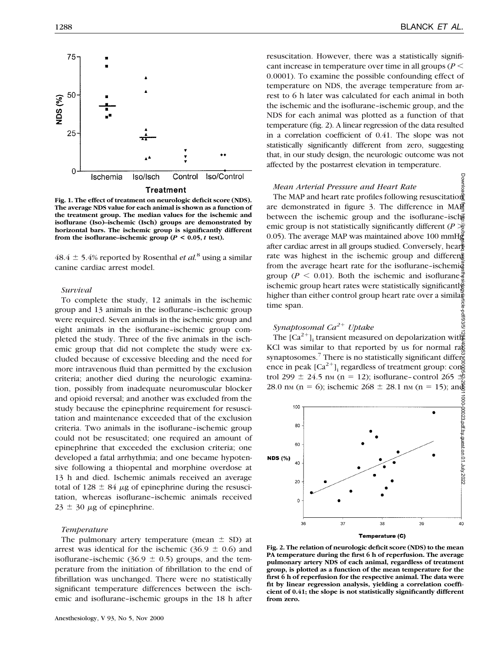

**Fig. 1. The effect of treatment on neurologic deficit score (NDS). The average NDS value for each animal is shown as a function of the treatment group. The median values for the ischemic and isoflurane (Iso)–ischemic (Isch) groups are demonstrated by horizontal bars. The ischemic group is significantly different** from the isoflurane–ischemic group ( $P < 0.05$ ,  $t$  test).

 $48.4 \pm 5.4\%$  reported by Rosenthal *et al.*<sup>8</sup> using a similar canine cardiac arrest model.

#### *Survival*

To complete the study, 12 animals in the ischemic group and 13 animals in the isoflurane–ischemic group were required. Seven animals in the ischemic group and eight animals in the isoflurane–ischemic group completed the study. Three of the five animals in the ischemic group that did not complete the study were excluded because of excessive bleeding and the need for more intravenous fluid than permitted by the exclusion criteria; another died during the neurologic examination, possibly from inadequate neuromuscular blocker and opioid reversal; and another was excluded from the study because the epinephrine requirement for resuscitation and maintenance exceeded that of the exclusion criteria. Two animals in the isoflurane–ischemic group could not be resuscitated; one required an amount of epinephrine that exceeded the exclusion criteria; one developed a fatal arrhythmia; and one became hypotensive following a thiopental and morphine overdose at 13 h and died. Ischemic animals received an average total of 128  $\pm$  84  $\mu$ g of epinephrine during the resuscitation, whereas isoflurane–ischemic animals received  $23 \pm 30 \mu$ g of epinephrine.

#### *Temperature*

The pulmonary artery temperature (mean  $\pm$  SD) at arrest was identical for the ischemic (36.9  $\pm$  0.6) and isoflurane–ischemic (36.9  $\pm$  0.5) groups, and the temperature from the initiation of fibrillation to the end of fibrillation was unchanged. There were no statistically significant temperature differences between the ischemic and isoflurane–ischemic groups in the 18 h after Downloa

resuscitation. However, there was a statistically significant increase in temperature over time in all groups ( $P$  < 0.0001). To examine the possible confounding effect of temperature on NDS, the average temperature from arrest to 6 h later was calculated for each animal in both the ischemic and the isoflurane–ischemic group, and the NDS for each animal was plotted as a function of that temperature (fig. 2). A linear regression of the data resulted in a correlation coefficient of 0.41. The slope was not statistically significantly different from zero, suggesting that, in our study design, the neurologic outcome was not affected by the postarrest elevation in temperature.

## *Mean Arterial Pressure and Heart Rate*

The MAP and heart rate profiles following resuscitation are demonstrated in figure 3. The difference in MAP between the ischemic group and the isoflurane-isch emic group is not statistically significantly different ( $P \geqslant$ 0.05). The average MAP was maintained above 100 mmHg after cardiac arrest in all groups studied. Conversely, hear $\frac{2}{5}$ rate was highest in the ischemic group and different from the average heart rate for the isoflurane-ischemi $\ddot{\tilde{g}}$ group ( $P \le 0.01$ ). Both the ischemic and isoflurane $\frac{2}{9}$ ischemic group heart rates were statistically significantly higher than either control group heart rate over a similartime span. -le-pdf/93/5/

# *Synaptosomal Ca2*<sup>1</sup> *Uptake*

The  $[Ca^{2+}]$ <sub>i</sub> transient measured on depolarization with KCl was similar to that reported by us for normal ra $\frac{2}{5}$ synaptosomes.<sup>7</sup> There is no statistically significant difference in peak  $[Ca^{2+}]$ <sub>i</sub> regardless of treatment group: con $\frac{5}{6}$ trol 299  $\pm$  24.5 nm (n = 12); isoflurane–control 265  $\frac{45}{2}$ 28.0 nm (n = 6); ischemic 268  $\pm$  28.1 nm (n = 15); and



**Fig. 2. The relation of neurologic deficit score (NDS) to the mean PA temperature during the first 6 h of reperfusion. The average pulmonary artery NDS of each animal, regardless of treatment group, is plotted as a function of the mean temperature for the first 6 h of reperfusion for the respective animal. The data were fit by linear regression analysis, yielding a correlation coefficient of 0.41; the slope is not statistically significantly different from zero.**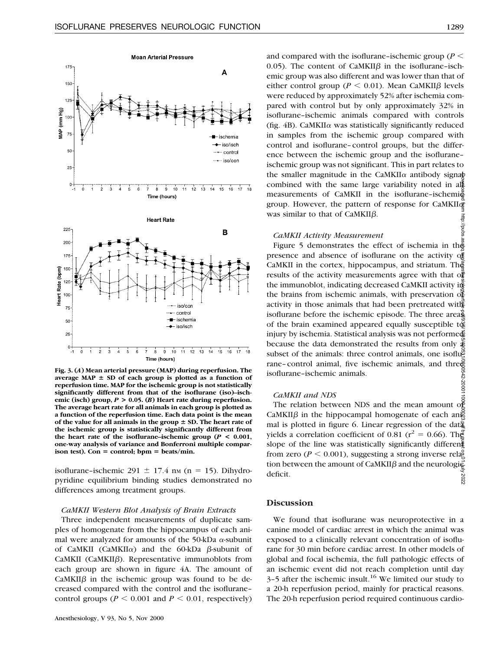

**Fig. 3. (***A***) Mean arterial pressure (MAP) during reperfusion. The** average MAP  $\pm$  SD of each group is plotted as a function of **reperfusion time. MAP for the ischemic group is not statistically significantly different from that of the isoflurane (iso)–ischemic (isch) group,** *P* **> 0.05. (***B***) Heart rate during reperfusion. The average heart rate for all animals in each group is plotted as a function of the reperfusion time. Each data point is the mean** of the value for all animals in the group  $\pm$  SD. The heart rate of **the ischemic group is statistically significantly different from the heart rate of the isoflurane–ischemic group (***P* **< 0.001, one-way analysis of variance and Bonferroni multiple compar-** $\mathbf{i}$ son test). Con = control;  $\mathbf{b}_{\text{p}} = \mathbf{b}_{\text{eats}}/ \text{min}$ .

isoflurane–ischemic 291  $\pm$  17.4 nm (n = 15). Dihydropyridine equilibrium binding studies demonstrated no differences among treatment groups.

#### *CaMKII Western Blot Analysis of Brain Extracts*

Three independent measurements of duplicate samples of homogenate from the hippocampus of each animal were analyzed for amounts of the 50-kDa  $\alpha$ -subunit of CaMKII (CaMKII $\alpha$ ) and the 60-kDa  $\beta$ -subunit of  $CaMKII$  ( $CaMKII\beta$ ). Representative immunoblots from each group are shown in figure 4A. The amount of  $CaMKII\beta$  in the ischemic group was found to be decreased compared with the control and the isoflurane– control groups ( $P \le 0.001$  and  $P \le 0.01$ , respectively)

and compared with the isoflurane–ischemic group ( $P \leq$ 0.05). The content of CaMKII $\beta$  in the isoflurane-ischemic group was also different and was lower than that of either control group ( $P \le 0.01$ ). Mean CaMKII $\beta$  levels were reduced by approximately 52% after ischemia compared with control but by only approximately 32% in isoflurane–ischemic animals compared with controls (fig.  $4B$ ). CaMKII $\alpha$  was statistically significantly reduced in samples from the ischemic group compared with control and isoflurane–control groups, but the difference between the ischemic group and the isoflurane– ischemic group was not significant. This in part relates to the smaller magnitude in the CaMKII $\alpha$  antibody signab combined with the same large variability noted in all measurements of CaMKII in the isoflurane-ischemi group. However, the pattern of response for CaMKII $\bar{\sigma}$ was similar to that of  $CaMKII\beta$ .  $\frac{1}{4}$ 

#### *CaMKII Activity Measurement*

Figure 5 demonstrates the effect of ischemia in the presence and absence of isoflurane on the activity of CaMKII in the cortex, hippocampus, and striatum. The results of the activity measurements agree with that of the immunoblot, indicating decreased CaMKII activity in the brains from ischemic animals, with preservation  $\delta \tilde{\xi}$ activity in those animals that had been pretreated with isoflurane before the ischemic episode. The three areas of the brain examined appeared equally susceptible to  $\ddot{\mathbf{g}}$ injury by ischemia. Statistical analysis was not performed because the data demonstrated the results from only  $\hat{\Phi}$ subset of the animals: three control animals, one isoflurane–control animal, five ischemic animals, and three isoflurane–ischemic animals. Downloaded from http://pubs.asahq.org/anesthesiology/article-pdf/93/5/1285/400531/0000542-200011000-00023.pdf by guest on 01 July 2022

## *CaMKII and NDS*

The relation between NDS and the mean amount of CaMKII $\beta$  in the hippocampal homogenate of each an mal is plotted in figure 6. Linear regression of the dat $\bar{a}$ yields a correlation coefficient of 0.81 ( $r^2 = 0.66$ ). The slope of the line was statistically significantly different from zero ( $P \le 0.001$ ), suggesting a strong inverse relagation tion between the amount of CaMKII $\beta$  and the neurologi $\bar{\epsilon}$ deficit. 2022

## **Discussion**

We found that isoflurane was neuroprotective in a canine model of cardiac arrest in which the animal was exposed to a clinically relevant concentration of isoflurane for 30 min before cardiac arrest. In other models of global and focal ischemia, the full pathologic effects of an ischemic event did not reach completion until day  $3-5$  after the ischemic insult.<sup>16</sup> We limited our study to a 20-h reperfusion period, mainly for practical reasons. The 20-h reperfusion period required continuous cardio-

sqnd//: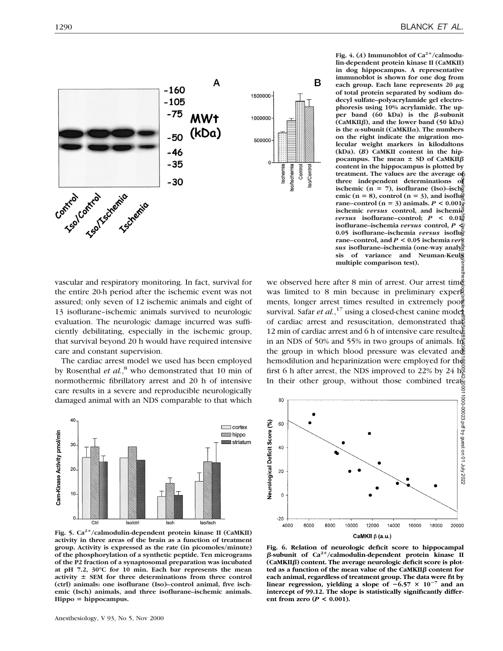

vascular and respiratory monitoring. In fact, survival for the entire 20-h period after the ischemic event was not assured; only seven of 12 ischemic animals and eight of 13 isoflurane–ischemic animals survived to neurologic evaluation. The neurologic damage incurred was sufficiently debilitating, especially in the ischemic group, that survival beyond 20 h would have required intensive care and constant supervision.

The cardiac arrest model we used has been employed by Rosenthal *et al.*, <sup>8</sup> who demonstrated that 10 min of normothermic fibrillatory arrest and 20 h of intensive care results in a severe and reproducible neurologically damaged animal with an NDS comparable to that which



Fig. 5. Ca<sup>2+</sup>/calmodulin-dependent protein kinase II (CaMKII) **activity in three areas of the brain as a function of treatment group. Activity is expressed as the rate (in picomoles/minute) of the phosphorylation of a synthetic peptide. Ten micrograms of the P2 fraction of a synaptosomal preparation was incubated at pH 7.2, 30°C for 10 min. Each bar represents the mean** activity  $\pm$  SEM for three determinations from three control **(ctrl) animals: one isoflurane (Iso)–control animal, five ischemic (Isch) animals, and three isoflurane–ischemic animals.**  $Hippo = hippocampus.$ 



we observed here after 8 min of arrest. Our arrest time was limited to 8 min because in preliminary experies ments, longer arrest times resulted in extremely poor survival. Safar *et al.*,<sup>17</sup> using a closed-chest canine mode of cardiac arrest and resuscitation, demonstrated that 12 min of cardiac arrest and 6 h of intensive care resulted in an NDS of 50% and 55% in two groups of animals. In the group in which blood pressure was elevated and hemodilution and heparinization were employed for the first 6 h after arrest, the NDS improved to 22% by 24  $\rm h^2$ In their other group, without those combined treats Downloaded from http://pubs.asahq.org/anesthesiology/article-pdf/93/5/1285/400531/0000542-200011000-00023.pdf by guest on 01 July 2022



**Fig. 6. Relation of neurologic deficit score to hippocampal**  $\beta$ -subunit of Ca<sup>2+</sup>/calmodulin-dependent protein kinase II **(CaMKII**b**) content. The average neurologic deficit score is plotted as a function of the mean value of the CaMKII**b **content for each animal, regardless of treatment group. The data were fit by linear regression, yielding a slope of**  $-6.57 \times 10^{-7}$  **and an intercept of 99.12. The slope is statistically significantly differ**ent from zero  $(P < 0.001)$ .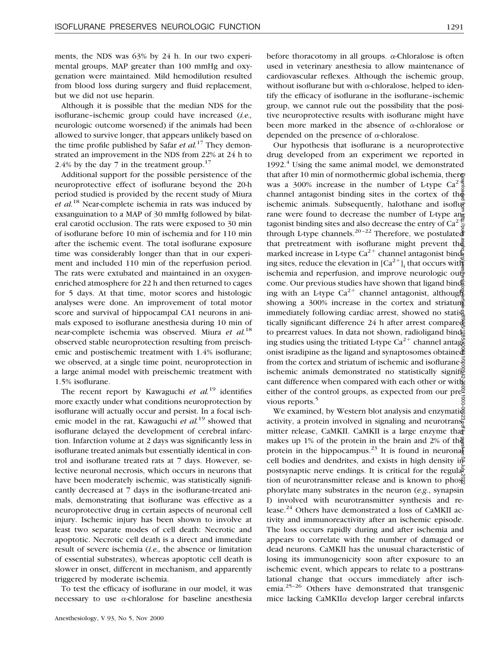ments, the NDS was 63% by 24 h. In our two experimental groups, MAP greater than 100 mmHg and oxygenation were maintained. Mild hemodilution resulted from blood loss during surgery and fluid replacement, but we did not use heparin.

Although it is possible that the median NDS for the isoflurane–ischemic group could have increased (*i.e.,* neurologic outcome worsened) if the animals had been allowed to survive longer, that appears unlikely based on the time profile published by Safar *et al.*<sup>17</sup> They demonstrated an improvement in the NDS from 22% at 24 h to 2.4% by the day 7 in the treatment group. $17$ 

Additional support for the possible persistence of the neuroprotective effect of isoflurane beyond the 20-h period studied is provided by the recent study of Miura *et al.*<sup>18</sup> Near-complete ischemia in rats was induced by exsanguination to a MAP of 30 mmHg followed by bilateral carotid occlusion. The rats were exposed to 30 min of isoflurane before 10 min of ischemia and for 110 min after the ischemic event. The total isoflurane exposure time was considerably longer than that in our experiment and included 110 min of the reperfusion period. The rats were extubated and maintained in an oxygenenriched atmosphere for 22 h and then returned to cages for 5 days. At that time, motor scores and histologic analyses were done. An improvement of total motor score and survival of hippocampal CA1 neurons in animals exposed to isoflurane anesthesia during 10 min of near-complete ischemia was observed. Miura *et al.*<sup>18</sup> observed stable neuroprotection resulting from preischemic and postischemic treatment with 1.4% isoflurane; we observed, at a single time point, neuroprotection in a large animal model with preischemic treatment with 1.5% isoflurane.

The recent report by Kawaguchi *et al.*<sup>19</sup> identifies more exactly under what conditions neuroprotection by isoflurane will actually occur and persist. In a focal ischemic model in the rat, Kawaguchi *et al.*<sup>19</sup> showed that isoflurane delayed the development of cerebral infarction. Infarction volume at 2 days was significantly less in isoflurane treated animals but essentially identical in control and isoflurane treated rats at 7 days. However, selective neuronal necrosis, which occurs in neurons that have been moderately ischemic, was statistically significantly decreased at 7 days in the isoflurane-treated animals, demonstrating that isoflurane was effective as a neuroprotective drug in certain aspects of neuronal cell injury. Ischemic injury has been shown to involve at least two separate modes of cell death: Necrotic and apoptotic. Necrotic cell death is a direct and immediate result of severe ischemia (*i.e.,* the absence or limitation of essential substrates), whereas apoptotic cell death is slower in onset, different in mechanism, and apparently triggered by moderate ischemia.

To test the efficacy of isoflurane in our model, it was necessary to use  $\alpha$ -chloralose for baseline anesthesia

before thoracotomy in all groups.  $\alpha$ -Chloralose is often used in veterinary anesthesia to allow maintenance of cardiovascular reflexes. Although the ischemic group, without isoflurane but with  $\alpha$ -chloralose, helped to identify the efficacy of isoflurane in the isoflurane–ischemic group, we cannot rule out the possibility that the positive neuroprotective results with isoflurane might have been more marked in the absence of  $\alpha$ -chloralose or depended on the presence of  $\alpha$ -chloralose.

Our hypothesis that isoflurane is a neuroprotective drug developed from an experiment we reported in  $1992<sup>4</sup>$  Using the same animal model, we demonstrated that after 10 min of normothermic global ischemia, there was a 300% increase in the number of L-type  $Ca^{2}$ . channel antagonist binding sites in the cortex of the ischemic animals. Subsequently, halothane and isoflurane were found to decrease the number of L-type and tagonist binding sites and also decrease the entry of  $Ca^{2}$ . through L-type channels.<sup>20-22</sup> Therefore, we postulated that pretreatment with isoflurane might prevent the marked increase in L-type  $Ca^{2+}$  channel antagonist binding sites, reduce the elevation in  $[Ca^{2+}]$ ; that occurs with ischemia and reperfusion, and improve neurologic out come. Our previous studies have shown that ligand binding with an L-type  $Ca^{2+}$  channel antagonist, although showing a 300% increase in the cortex and striatum immediately following cardiac arrest, showed no statistically significant difference 24 h after arrest compared to prearrest values. In data not shown, radioligand binding studies using the tritiated L-type Ca<sup>2+</sup> channel antagene onist isradipine as the ligand and synaptosomes obtained from the cortex and striatum of ischemic and isoflurane $\frac{5}{2}$ ischemic animals demonstrated no statistically signifig cant difference when compared with each other or with either of the control groups, as expected from our pre $\geq$ vious reports.<sup>5</sup> Downloaded from http://pubs.asahq.org/anesthesiology/article-pdf/93/5/1285/400531/0000542-200011000-00023.pdf by guest on 01 July 2022

We examined, by Western blot analysis and enzymati activity, a protein involved in signaling and neurotransmitter release, CaMKII. CaMKII is a large enzyme that makes up 1% of the protein in the brain and 2% of the protein in the hippocampus.<sup>23</sup> It is found in neuronal cell bodies and dendrites, and exists in high density in postsynaptic nerve endings. It is critical for the regula $\bar{\bar{\mathbf{x}}}$ tion of neurotransmitter release and is known to phose phorylate many substrates in the neuron (*e.g.*, synapsin I) involved with neurotransmitter synthesis and release.24 Others have demonstrated a loss of CaMKII activity and immunoreactivity after an ischemic episode. The loss occurs rapidly during and after ischemia and appears to correlate with the number of damaged or dead neurons. CaMKII has the unusual characteristic of losing its immunogenicity soon after exposure to an ischemic event, which appears to relate to a posttranslational change that occurs immediately after ischemia.25–26 Others have demonstrated that transgenic mice lacking CaMKII $\alpha$  develop larger cerebral infarcts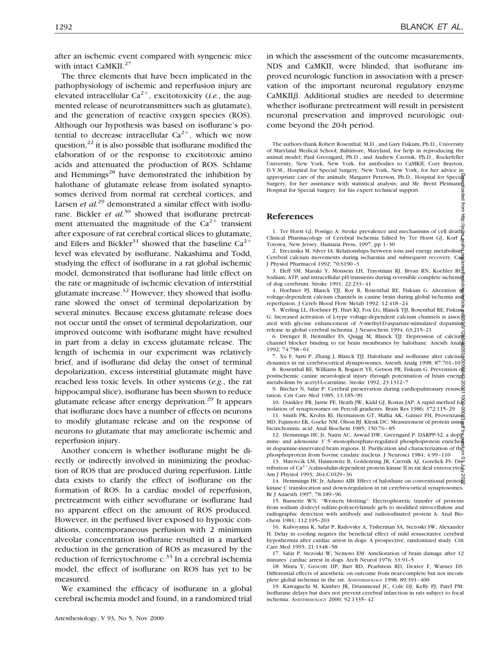after an ischemic event compared with syngeneic mice with intact CaMKII.<sup>27</sup>

The three elements that have been implicated in the pathophysiology of ischemic and reperfusion injury are elevated intracellular  $Ca^{2+}$ , excitotoxicity *(i.e.*, the augmented release of neurotransmitters such as glutamate), and the generation of reactive oxygen species (ROS). Although our hypothesis was based on isoflurane's potential to decrease intracellular  $Ca^{2+}$ , which we now question, $^{22}$  it is also possible that isoflurane modified the elaboration of or the response to excitotoxic amino acids and attenuated the production of ROS. Schlame and Hemmings $^{28}$  have demonstrated the inhibition by halothane of glutamate release from isolated synaptosomes derived from normal rat cerebral cortices, and Larsen *et al.*<sup>29</sup> demonstrated a similar effect with isoflurane. Bickler *et al.*<sup>30</sup> showed that isoflurane pretreatment attenuated the magnitude of the  $Ca^{2+}$  transient after exposure of rat cerebral cortical slices to glutamate, and Eilers and Bickler<sup>31</sup> showed that the baseline  $Ca^{2+}$ level was elevated by isoflurane. Nakashima and Todd, studying the effect of isoflurane in a rat global ischemic model, demonstrated that isoflurane had little effect on the rate or magnitude of ischemic elevation of interstitial glutamate increase. $32$  However, they showed that isoflurane slowed the onset of terminal depolarization by several minutes. Because excess glutamate release does not occur until the onset of terminal depolarization, our improved outcome with isoflurane might have resulted in part from a delay in excess glutamate release. The length of ischemia in our experiment was relatively brief, and if isoflurane did delay the onset of terminal depolarization, excess interstitial glutamate might have reached less toxic levels. In other systems (*e.g.*, the rat hippocampal slice), isoflurane has been shown to reduce glutamate release after energy deprivation.<sup>29</sup> It appears that isoflurane does have a number of effects on neurons to modify glutamate release and on the response of neurons to glutamate that may ameliorate ischemic and reperfusion injury.

Another concern is whether isoflurane might be directly or indirectly involved in minimizing the production of ROS that are produced during reperfusion. Little data exists to clarify the effect of isoflurane on the formation of ROS. In a cardiac model of reperfusion, pretreatment with either sevoflurane or isoflurane had no apparent effect on the amount of ROS produced. However, in the perfused liver exposed to hypoxic conditions, contemporaneous perfusion with 2 minimum alveolar concentration isoflurane resulted in a marked reduction in the generation of ROS as measured by the reduction of ferricytochrome c.<sup>33</sup> In a cerebral ischemia model, the effect of isoflurane on ROS has yet to be measured.

We examined the efficacy of isoflurane in a global cerebral ischemia model and found, in a randomized trial

in which the assessment of the outcome measurements, NDS and CaMKII, were blinded, that isoflurane improved neurologic function in association with a preservation of the important neuronal regulatory enzyme CaMKII $\beta$ . Additional studies are needed to determine whether isoflurane pretreatment will result in persistent neuronal preservation and improved neurologic outcome beyond the 20-h period.

The authors thank Robert Rosenthal, M.D., and Gary Fiskum, Ph.D., University of Maryland Medical School, Baltimore, Maryland, for help in reproducing the animal model; Paul Greengard, Ph.D., and Andrew Czernik, Ph.D., Rockefeller University, New York, New York, for antibodies to CaMKII; Cory Brayton, D.V.M., Hospital for Special Surgery, New York, New York, for her advice in appropriate care of the animals; Margaret Peterson, Ph.D., Hospital for Special Surgery, for her assistance with statistical analysis; and Mr. Brent Pleimann Hospital for Special Surgery, for his expert technical support. ded from http

#### **References**

1. Ter Horst GJ, Postigo A: Stroke prevalence and mechanisms of cell death Clinical Pharmacology of Cerebral Ischemia Edited by Ter Horst GJ, Korf J. Totowa, New Jersey, Humana Press, 1997, pp 1–30

2. Erecinska M, Silver IA: Relationships between ions and energy metabolisme Cerebral calcium movements during ischaemia and subsequent recovery. Ca J Physiol Pharmacol 1992; 70:S190–3

3. Eleff SM, Maruki Y, Monsein LH, Traystman RJ, Bryan RN, Koehler RCE Sodium, ATP, and intracellular pH transients during reversible complete ischemia of dog cerebrum. Stroke 1991; 22:233–41

4. Hoehner PJ, Blanck TJJ, Roy R, Rosenthal RE, Fiskum G: Alteration of voltage-dependent calcium channels in canine brain during global ischemia and reperfusion. J Cereb Blood Flow Metab 1992; 12:418–24

5. Werling LL, Hoehner PJ, Hurt KJ, Fox LG, Blanck TJJ, Rosenthal RE, Fiskum G: Increased activation of L-type voltage-dependent calcium channels is assoc ated with glycine enhancement of *N*-methyl-D-aspartate-stimulated dopamine release in global cerebral ischemia. J Neurochem 1994; 63;215–21 Bownloaded from http://pubs.asahq.org/article-pdf/93/5/1285/400000542/5/2023/0009991/0000110001100011000000000

6. Drenger B, Heitmiller ES, Quigg M, Blanck TJJ: Depression of calcium channel blocker binding to rat brain membranes by halothane. Anesth Analg 1992; 74:758–61

7. Xu F, Sarti P, Zhang J, Blanck TJJ. Halothane and isoflurane alter calcium dynamics in rat cerebrocortical dynaptosomes. Anesth Analg 1998; 87:701–10

8. Rosenthal RE, Williams R, Bogaert YE, Getson PR, Fiskum G: Prevention of postischemic canine neurological injury through potentiation of brain energy metabolism by acetyl-L-carnitine. Stroke 1992; 23:1312–7

9. Bircher N, Safar P: Cerebral preservation during cardiopulmonary resusce tation. Crit Care Med 1985; 13:185–90

10. Dunkley PR, Jarrie PE, Heath JW, Kidd GJ, Rostas JAP: A rapid method for isolation of synaptosomes on Percoll gradients. Brain Res 1986; 372:115–29 11. Smith PK, Krohn RI, Hermanson GT, Mallia AK, Gatner FH, Provenzano

MD, Fujimoto EK, Goeke NM, Olson BJ, Klenk DC: Measurement of protein using bicinchoninic acid. Anal Biochem 1985; 150:76–85

12. Hemmings HC Jr, Nairn AC, Aswad DW, Greengard P: DARPP-32, a dop $\mathbb{Z}$ mine- and adenosine 3':5'-monophosphate-regulated phosphoprotein enriche in dopamine-innervated brain regions. II. Purification and characterization of the<br>independent regions. II. Purification and characterization of the phosphoprotein from bovine caudate nucleus. J Neurosci 1984; 4:99–110

13. Matovcik LM, Haimowitz B, Goldenring JR, Czernik AJ, Gorelick FS: Distribution of Ca<sup>2+</sup>/calmodulin-dependent protein kinase II in rat ileal enterocytes. Am J Physiol 1993; 264:C1029–36

14. Hemmings HC Jr, Adamo AIB: Effect of halothane on conventional proteing kinase C translocation and down-regulation in rat cerebrocortical synaptosomes. Br J Anaesth 1997; 78:189–96

15. Burnette WN: "Western blotting": Electrophoretic transfer of proteins from sodium dodecyl sulfate-polyacrylamide gels to modified nitrocellulose and radiographic detection with antibody and radioiodinated protein A. Anal Biochem 1981; 112:195–203

16. Kuboyama K, Safar P, Radovsky A, Tisherman SA, Stezoski SW, Alexander H: Delay in cooling negates the beneficial effect of mild resuscitative cerebral hypothermia after cardiac arrest in dogs: A prospective, randomized study. Crit Care Med 1993; 21:1348–58

17. Safar P, Stezoski W, Nemoto EM: Amelioration of brain damage after 12 minutes' cardiac arrest in dogs. Arch Neurol 1976; 33:91–5

18. Miura Y, Grocott HP, Bart RD, Pearlstein RD, Dexter F, Warner DS: Differential effects of anesthetic on outcome from near-complete but not incomplete global ischemia in the rat. ANESTHESIOLOGY 1998; 89:391–400

19. Kawaguchi M, Kimbro JR, Drummond JC, Cole DJ, Kelly PJ, Patel PM: Isoflurane delays but does not prevent cerebral infarction in rats subject to focal ischemia. ANESTHESIOLOGY 2000; 92:1335–42